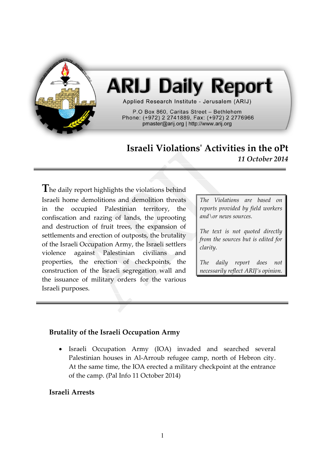

# **ARIJ Daily Report**

Applied Research Institute - Jerusalem (ARIJ)

P.O Box 860, Caritas Street - Bethlehem Phone: (+972) 2 2741889, Fax: (+972) 2 2776966 pmaster@arij.org | http://www.arij.org

## **Israeli Violations' Activities in the oPt** *11 October 2014*

**T**he daily report highlights the violations behind Israeli home demolitions and demolition threats in the occupied Palestinian territory, the confiscation and razing of lands, the uprooting and destruction of fruit trees, the expansion of settlements and erection of outposts, the brutality of the Israeli Occupation Army, the Israeli settlers violence against Palestinian civilians and properties, the erection of checkpoints, the construction of the Israeli segregation wall and the issuance of military orders for the various Israeli purposes.

*The Violations are based on reports provided by field workers and\or news sources.*

*The text is not quoted directly from the sources but is edited for clarity.*

*The daily report does not necessarily reflect ARIJ's opinion.*

#### **Brutality of the Israeli Occupation Army**

 Israeli Occupation Army (IOA) invaded and searched several Palestinian houses in Al-Arroub refugee camp, north of Hebron city. At the same time, the IOA erected a military checkpoint at the entrance of the camp. (Pal Info 11 October 2014)

#### **Israeli Arrests**